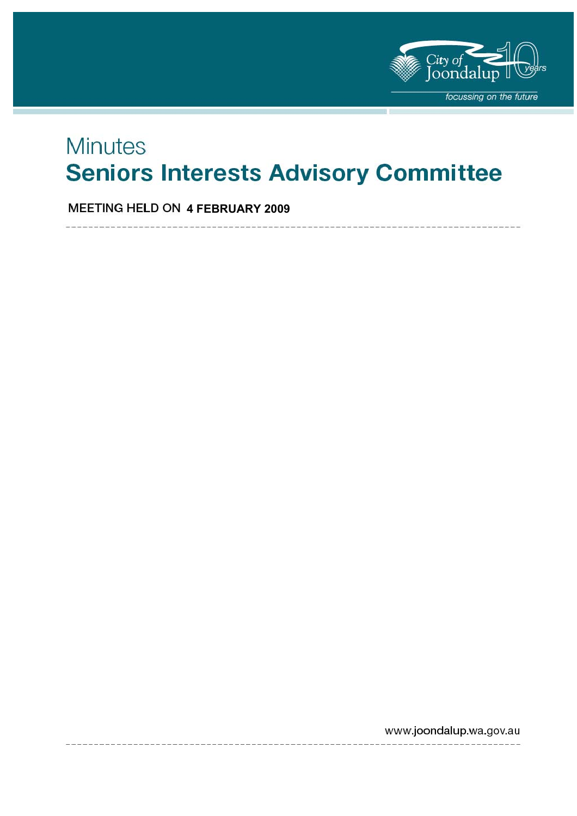

# **Minutes Seniors Interests Advisory Committee**

**MEETING HELD ON 4 FEBRUARY 2009** 

www.joondalup.wa.gov.au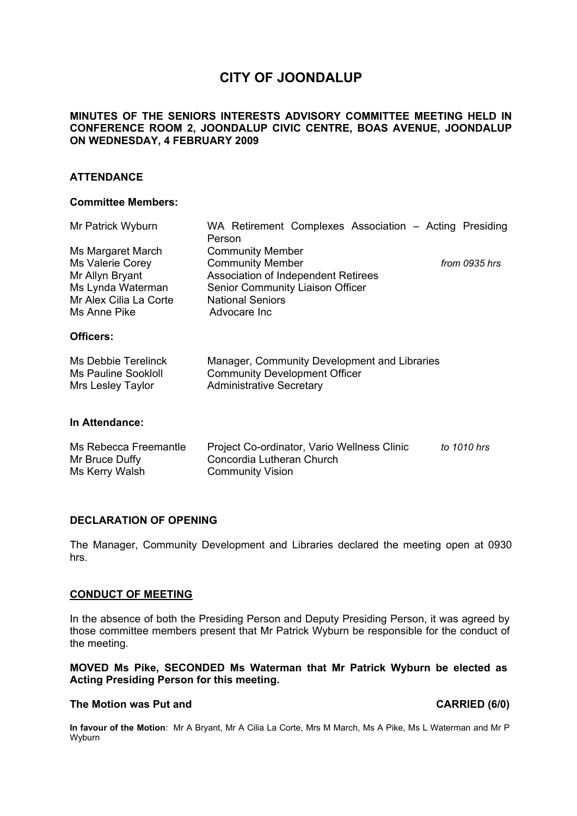# **CITY OF JOONDALUP**

#### **MINUTES OF THE SENIORS INTERESTS ADVISORY COMMITTEE MEETING HELD IN CONFERENCE ROOM 2, JOONDALUP CIVIC CENTRE, BOAS AVENUE, JOONDALUP ON WEDNESDAY, 4 FEBRUARY 2009**

#### **ATTENDANCE**

#### **Committee Members:**

| Mr Patrick Wyburn                                                                                  | WA Retirement Complexes Association - Acting Presiding<br>Person                                                                              |               |
|----------------------------------------------------------------------------------------------------|-----------------------------------------------------------------------------------------------------------------------------------------------|---------------|
| Ms Margaret March                                                                                  | <b>Community Member</b>                                                                                                                       |               |
| Ms Valerie Corey<br>Mr Allyn Bryant<br>Ms Lynda Waterman<br>Mr Alex Cilia La Corte<br>Ms Anne Pike | <b>Community Member</b><br>Association of Independent Retirees<br>Senior Community Liaison Officer<br><b>National Seniors</b><br>Advocare Inc | from 0935 hrs |
| Officers:                                                                                          |                                                                                                                                               |               |
| Ms Debbie Terelinck<br>Ms Pauline Sookloll<br>Mrs Lesley Taylor                                    | Manager, Community Development and Libraries<br><b>Community Development Officer</b><br><b>Administrative Secretary</b>                       |               |
| In Attendance:                                                                                     |                                                                                                                                               |               |
| Ms Rebecca Freemantle<br>Mr Bruce Duffy<br>Ms Kerry Walsh                                          | Project Co-ordinator, Vario Wellness Clinic<br>Concordia Lutheran Church<br>Community Vision                                                  | to 1010 hrs   |

#### **DECLARATION OF OPENING**

The Manager, Community Development and Libraries declared the meeting open at 0930 hrs.

#### **CONDUCT OF MEETING**

In the absence of both the Presiding Person and Deputy Presiding Person, it was agreed by those committee members present that Mr Patrick Wyburn be responsible for the conduct of the meeting.

#### **MOVED Ms Pike, SECONDED Ms Waterman that Mr Patrick Wyburn be elected as Acting Presiding Person for this meeting.**

#### The Motion was Put and **CARRIED** (6/0)

**In favour of the Motion**: Mr A Bryant, Mr A Cilia La Corte, Mrs M March, Ms A Pike, Ms L Waterman and Mr P Wyburn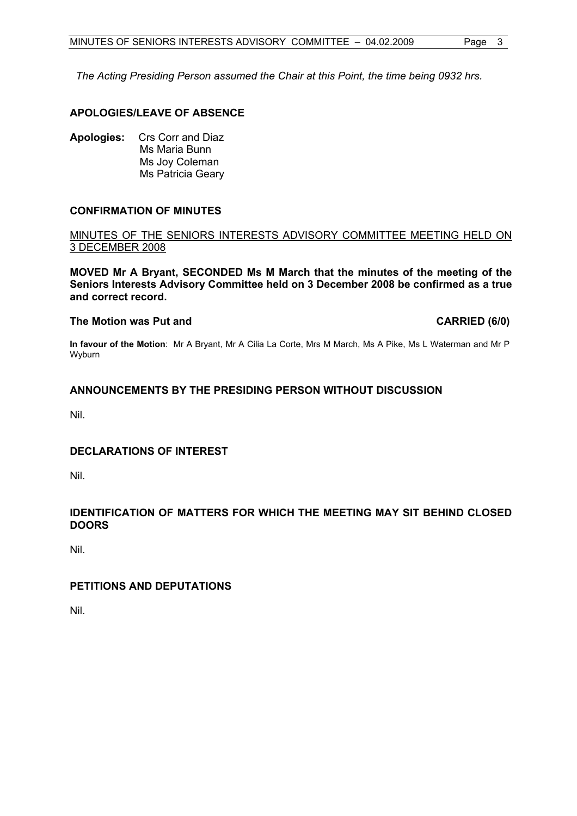*The Acting Presiding Person assumed the Chair at this Point, the time being 0932 hrs.* 

#### **APOLOGIES/LEAVE OF ABSENCE**

**Apologies:** Crs Corr and Diaz Ms Maria Bunn Ms Joy Coleman Ms Patricia Geary

#### **CONFIRMATION OF MINUTES**

MINUTES OF THE SENIORS INTERESTS ADVISORY COMMITTEE MEETING HELD ON 3 DECEMBER 2008

**MOVED Mr A Bryant, SECONDED Ms M March that the minutes of the meeting of the Seniors Interests Advisory Committee held on 3 December 2008 be confirmed as a true and correct record.** 

#### **The Motion was Put and CARRIED (6/0) CARRIED (6/0)**

**In favour of the Motion**: Mr A Bryant, Mr A Cilia La Corte, Mrs M March, Ms A Pike, Ms L Waterman and Mr P Wyburn

#### **ANNOUNCEMENTS BY THE PRESIDING PERSON WITHOUT DISCUSSION**

Nil.

#### **DECLARATIONS OF INTEREST**

Nil.

#### **IDENTIFICATION OF MATTERS FOR WHICH THE MEETING MAY SIT BEHIND CLOSED DOORS**

Nil.

#### **PETITIONS AND DEPUTATIONS**

Nil.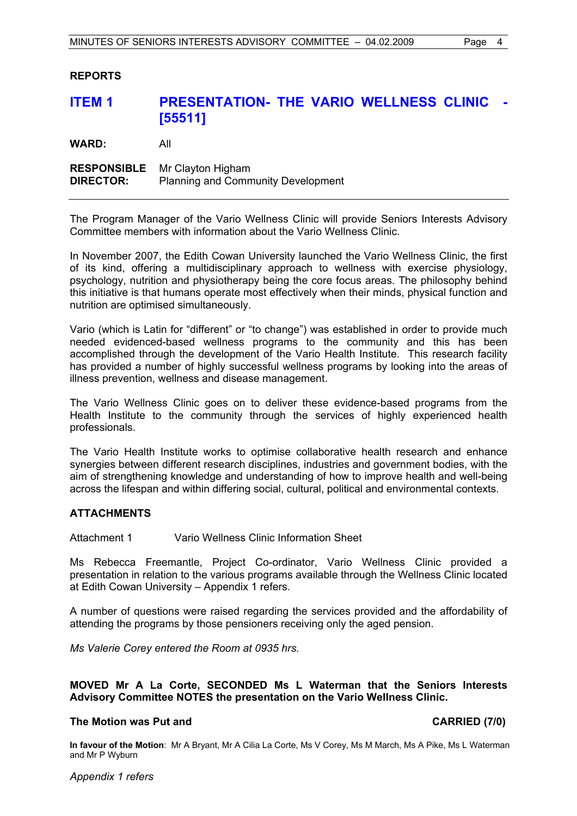#### **REPORTS**

# **ITEM 1 PRESENTATION- THE VARIO WELLNESS CLINIC [55511]**

**WARD:** All

**RESPONSIBLE** Mr Clayton Higham **DIRECTOR:** Planning and Community Development

The Program Manager of the Vario Wellness Clinic will provide Seniors Interests Advisory Committee members with information about the Vario Wellness Clinic.

In November 2007, the Edith Cowan University launched the Vario Wellness Clinic, the first of its kind, offering a multidisciplinary approach to wellness with exercise physiology, psychology, nutrition and physiotherapy being the core focus areas. The philosophy behind this initiative is that humans operate most effectively when their minds, physical function and nutrition are optimised simultaneously.

Vario (which is Latin for "different" or "to change") was established in order to provide much needed evidenced-based wellness programs to the community and this has been accomplished through the development of the Vario Health Institute. This research facility has provided a number of highly successful wellness programs by looking into the areas of illness prevention, wellness and disease management.

The Vario Wellness Clinic goes on to deliver these evidence-based programs from the Health Institute to the community through the services of highly experienced health professionals.

The Vario Health Institute works to optimise collaborative health research and enhance synergies between different research disciplines, industries and government bodies, with the aim of strengthening knowledge and understanding of how to improve health and well-being across the lifespan and within differing social, cultural, political and environmental contexts.

#### **ATTACHMENTS**

Attachment 1 Vario Wellness Clinic Information Sheet

Ms Rebecca Freemantle, Project Co-ordinator, Vario Wellness Clinic provided a presentation in relation to the various programs available through the Wellness Clinic located at Edith Cowan University – Appendix 1 refers.

A number of questions were raised regarding the services provided and the affordability of attending the programs by those pensioners receiving only the aged pension.

*Ms Valerie Corey entered the Room at 0935 hrs.* 

#### **MOVED Mr A La Corte, SECONDED Ms L Waterman that the Seniors Interests Advisory Committee NOTES the presentation on the Vario Wellness Clinic.**

#### **The Motion was Put and CARRIED (7/0)**

**In favour of the Motion**: Mr A Bryant, Mr A Cilia La Corte, Ms V Corey, Ms M March, Ms A Pike, Ms L Waterman and Mr P Wyburn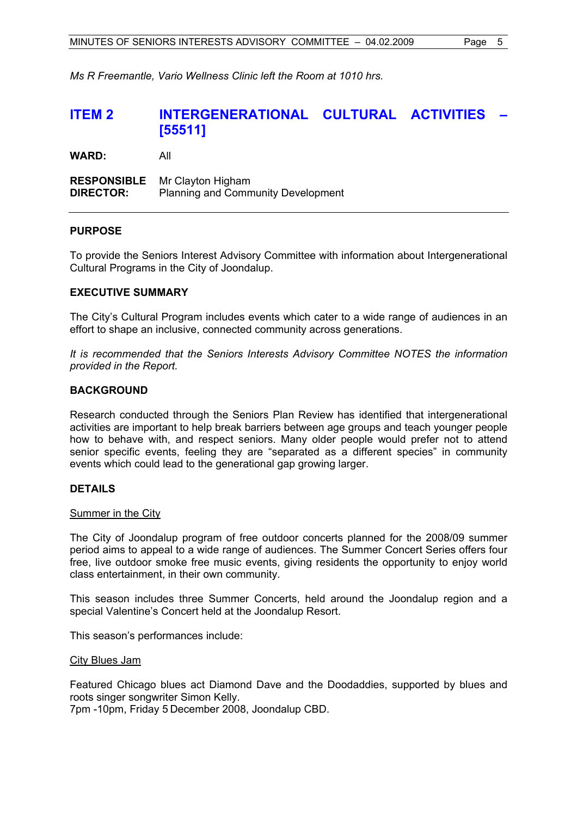*Ms R Freemantle, Vario Wellness Clinic left the Room at 1010 hrs.* 

# **ITEM 2 INTERGENERATIONAL CULTURAL ACTIVITIES [55511]**

**WARD:** All

**RESPONSIBLE** Mr Clayton Higham **DIRECTOR:** Planning and Community Development

#### **PURPOSE**

To provide the Seniors Interest Advisory Committee with information about Intergenerational Cultural Programs in the City of Joondalup.

#### **EXECUTIVE SUMMARY**

The City's Cultural Program includes events which cater to a wide range of audiences in an effort to shape an inclusive, connected community across generations.

*It is recommended that the Seniors Interests Advisory Committee NOTES the information provided in the Report.* 

### **BACKGROUND**

Research conducted through the Seniors Plan Review has identified that intergenerational activities are important to help break barriers between age groups and teach younger people how to behave with, and respect seniors. Many older people would prefer not to attend senior specific events, feeling they are "separated as a different species" in community events which could lead to the generational gap growing larger.

#### **DETAILS**

#### Summer in the City

The City of Joondalup program of free outdoor concerts planned for the 2008/09 summer period aims to appeal to a wide range of audiences. The Summer Concert Series offers four free, live outdoor smoke free music events, giving residents the opportunity to enjoy world class entertainment, in their own community.

This season includes three Summer Concerts, held around the Joondalup region and a special Valentine's Concert held at the Joondalup Resort.

This season's performances include:

#### City Blues Jam

Featured Chicago blues act Diamond Dave and the Doodaddies, supported by blues and roots singer songwriter Simon Kelly.

7pm -10pm, Friday 5 December 2008, Joondalup CBD.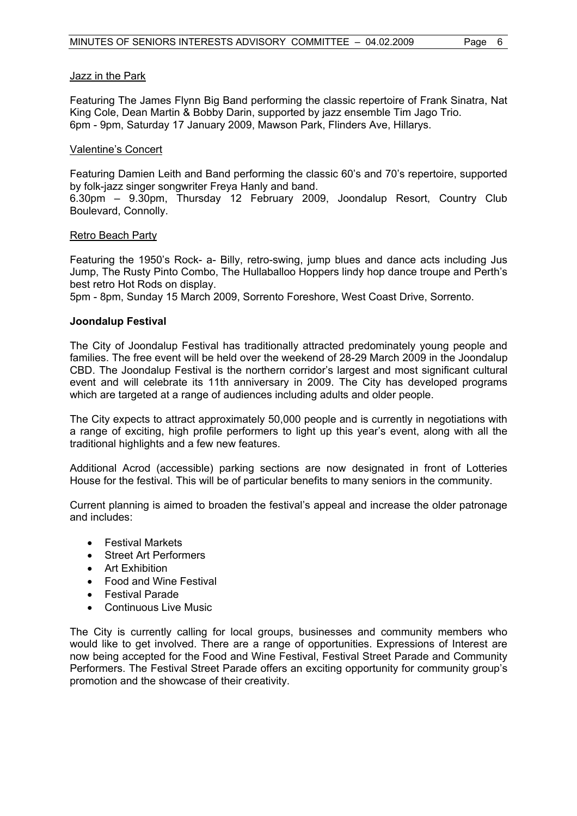#### Jazz in the Park

Featuring The James Flynn Big Band performing the classic repertoire of Frank Sinatra, Nat King Cole, Dean Martin & Bobby Darin, supported by jazz ensemble Tim Jago Trio. 6pm - 9pm, Saturday 17 January 2009, Mawson Park, Flinders Ave, Hillarys.

#### Valentine's Concert

Featuring Damien Leith and Band performing the classic 60's and 70's repertoire, supported by folk-jazz singer songwriter Freya Hanly and band.

6.30pm – 9.30pm, Thursday 12 February 2009, Joondalup Resort, Country Club Boulevard, Connolly.

#### Retro Beach Party

Featuring the 1950's Rock- a- Billy, retro-swing, jump blues and dance acts including Jus Jump, The Rusty Pinto Combo, The Hullaballoo Hoppers lindy hop dance troupe and Perth's best retro Hot Rods on display.

5pm - 8pm, Sunday 15 March 2009, Sorrento Foreshore, West Coast Drive, Sorrento.

#### **Joondalup Festival**

The City of Joondalup Festival has traditionally attracted predominately young people and families. The free event will be held over the weekend of 28-29 March 2009 in the Joondalup CBD. The Joondalup Festival is the northern corridor's largest and most significant cultural event and will celebrate its 11th anniversary in 2009. The City has developed programs which are targeted at a range of audiences including adults and older people.

The City expects to attract approximately 50,000 people and is currently in negotiations with a range of exciting, high profile performers to light up this year's event, along with all the traditional highlights and a few new features.

Additional Acrod (accessible) parking sections are now designated in front of Lotteries House for the festival. This will be of particular benefits to many seniors in the community.

Current planning is aimed to broaden the festival's appeal and increase the older patronage and includes:

- Festival Markets
- Street Art Performers
- Art Exhibition
- Food and Wine Festival
- Festival Parade
- Continuous Live Music

The City is currently calling for local groups, businesses and community members who would like to get involved. There are a range of opportunities. Expressions of Interest are now being accepted for the Food and Wine Festival, Festival Street Parade and Community Performers. The Festival Street Parade offers an exciting opportunity for community group's promotion and the showcase of their creativity.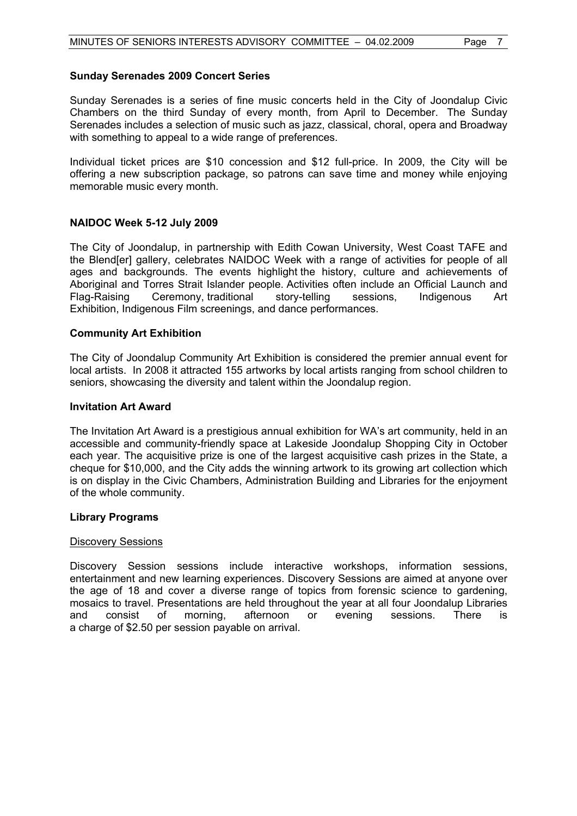#### **Sunday Serenades 2009 Concert Series**

Sunday Serenades is a series of fine music concerts held in the City of Joondalup Civic Chambers on the third Sunday of every month, from April to December. The Sunday Serenades includes a selection of music such as jazz, classical, choral, opera and Broadway with something to appeal to a wide range of preferences.

Individual ticket prices are \$10 concession and \$12 full-price. In 2009, the City will be offering a new subscription package, so patrons can save time and money while enjoying memorable music every month.

#### **NAIDOC Week 5-12 July 2009**

The City of Joondalup, in partnership with Edith Cowan University, West Coast TAFE and the Blend[er] gallery, celebrates NAIDOC Week with a range of activities for people of all ages and backgrounds. The events highlight the history, culture and achievements of Aboriginal and Torres Strait Islander people. Activities often include an Official Launch and Flag-Raising Ceremony, traditional story-telling sessions, Indigenous Art Exhibition, Indigenous Film screenings, and dance performances.

#### **Community Art Exhibition**

The City of Joondalup Community Art Exhibition is considered the premier annual event for local artists. In 2008 it attracted 155 artworks by local artists ranging from school children to seniors, showcasing the diversity and talent within the Joondalup region.

#### **Invitation Art Award**

The Invitation Art Award is a prestigious annual exhibition for WA's art community, held in an accessible and community-friendly space at Lakeside Joondalup Shopping City in October each year. The acquisitive prize is one of the largest acquisitive cash prizes in the State, a cheque for \$10,000, and the City adds the winning artwork to its growing art collection which is on display in the Civic Chambers, Administration Building and Libraries for the enjoyment of the whole community.

#### **Library Programs**

#### Discovery Sessions

Discovery Session sessions include interactive workshops, information sessions, entertainment and new learning experiences. Discovery Sessions are aimed at anyone over the age of 18 and cover a diverse range of topics from forensic science to gardening, mosaics to travel. Presentations are held throughout the year at all four Joondalup Libraries and consist of morning, afternoon or evening sessions. There is a charge of \$2.50 per session payable on arrival.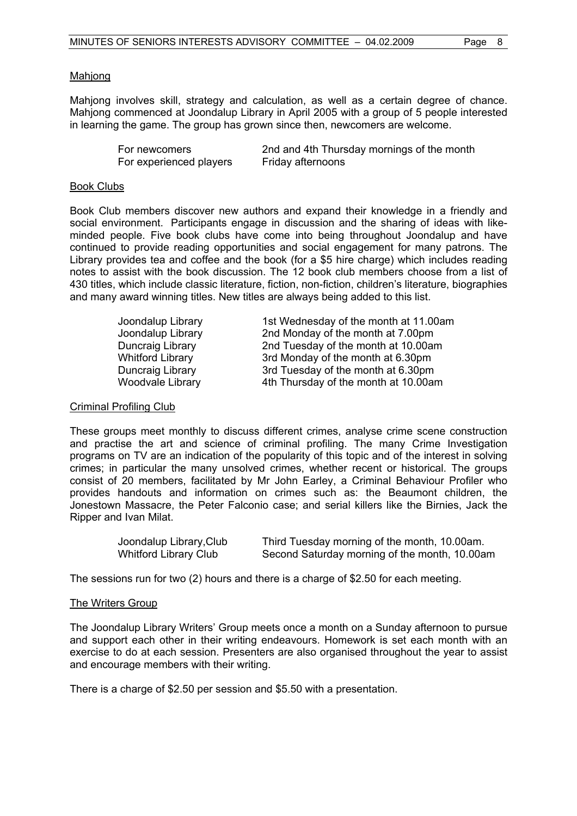#### Mahjong

Mahjong involves skill, strategy and calculation, as well as a certain degree of chance. Mahjong commenced at Joondalup Library in April 2005 with a group of 5 people interested in learning the game. The group has grown since then, newcomers are welcome.

| For newcomers           | 2nd and 4th Thursday mornings of the month |
|-------------------------|--------------------------------------------|
| For experienced players | Friday afternoons                          |

#### Book Clubs

Book Club members discover new authors and expand their knowledge in a friendly and social environment. Participants engage in discussion and the sharing of ideas with likeminded people. Five book clubs have come into being throughout Joondalup and have continued to provide reading opportunities and social engagement for many patrons. The Library provides tea and coffee and the book (for a \$5 hire charge) which includes reading notes to assist with the book discussion. The 12 book club members choose from a list of 430 titles, which include classic literature, fiction, non-fiction, children's literature, biographies and many award winning titles. New titles are always being added to this list.

| Joondalup Library       | 1st Wednesday of the month at 11.00am |
|-------------------------|---------------------------------------|
| Joondalup Library       | 2nd Monday of the month at 7.00pm     |
| Duncraig Library        | 2nd Tuesday of the month at 10.00am   |
| <b>Whitford Library</b> | 3rd Monday of the month at 6.30pm     |
| Duncraig Library        | 3rd Tuesday of the month at 6.30pm    |
| Woodvale Library        | 4th Thursday of the month at 10.00am  |
|                         |                                       |

#### Criminal Profiling Club

These groups meet monthly to discuss different crimes, analyse crime scene construction and practise the art and science of criminal profiling. The many Crime Investigation programs on TV are an indication of the popularity of this topic and of the interest in solving crimes; in particular the many unsolved crimes, whether recent or historical. The groups consist of 20 members, facilitated by Mr John Earley, a Criminal Behaviour Profiler who provides handouts and information on crimes such as: the Beaumont children, the Jonestown Massacre, the Peter Falconio case; and serial killers like the Birnies, Jack the Ripper and Ivan Milat.

| Joondalup Library, Club      | Third Tuesday morning of the month, 10.00am.  |
|------------------------------|-----------------------------------------------|
| <b>Whitford Library Club</b> | Second Saturday morning of the month, 10.00am |

The sessions run for two (2) hours and there is a charge of \$2.50 for each meeting.

#### The Writers Group

The Joondalup Library Writers' Group meets once a month on a Sunday afternoon to pursue and support each other in their writing endeavours. Homework is set each month with an exercise to do at each session. Presenters are also organised throughout the year to assist and encourage members with their writing.

There is a charge of \$2.50 per session and \$5.50 with a presentation.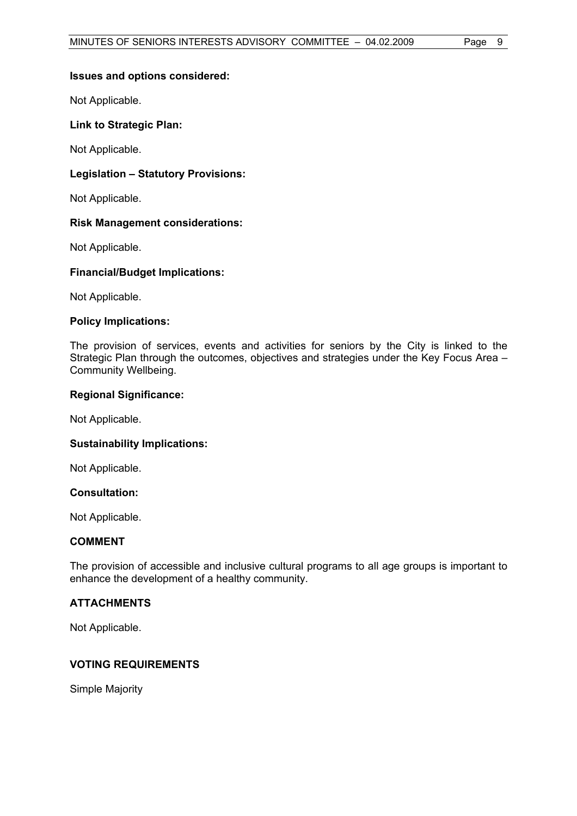#### **Issues and options considered:**

Not Applicable.

#### **Link to Strategic Plan:**

Not Applicable.

#### **Legislation – Statutory Provisions:**

Not Applicable.

#### **Risk Management considerations:**

Not Applicable.

#### **Financial/Budget Implications:**

Not Applicable.

#### **Policy Implications:**

The provision of services, events and activities for seniors by the City is linked to the Strategic Plan through the outcomes, objectives and strategies under the Key Focus Area – Community Wellbeing.

#### **Regional Significance:**

Not Applicable.

#### **Sustainability Implications:**

Not Applicable.

#### **Consultation:**

Not Applicable.

#### **COMMENT**

The provision of accessible and inclusive cultural programs to all age groups is important to enhance the development of a healthy community.

#### **ATTACHMENTS**

Not Applicable.

### **VOTING REQUIREMENTS**

Simple Majority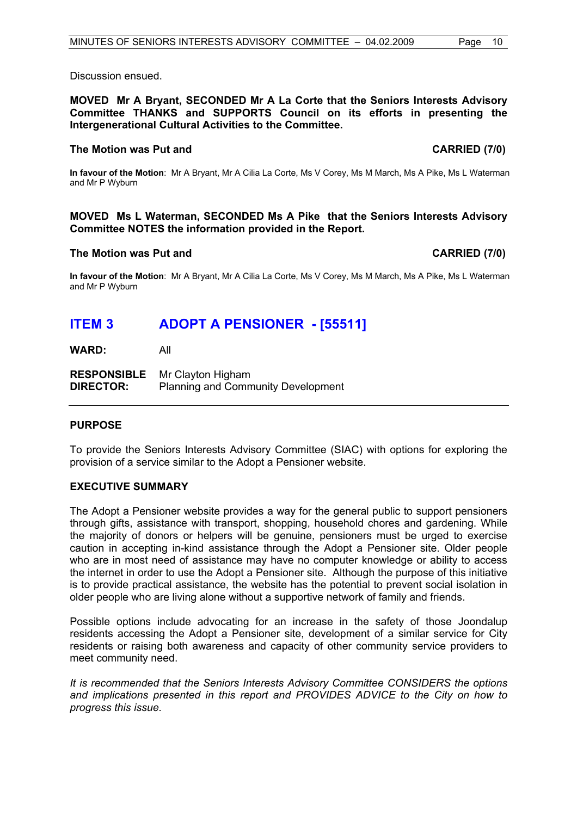Discussion ensued.

**MOVED Mr A Bryant, SECONDED Mr A La Corte that the Seniors Interests Advisory Committee THANKS and SUPPORTS Council on its efforts in presenting the Intergenerational Cultural Activities to the Committee.** 

#### **The Motion was Put and CARRIED (7/0)**

**In favour of the Motion**: Mr A Bryant, Mr A Cilia La Corte, Ms V Corey, Ms M March, Ms A Pike, Ms L Waterman and Mr P Wyburn

**MOVED Ms L Waterman, SECONDED Ms A Pike that the Seniors Interests Advisory Committee NOTES the information provided in the Report.** 

#### **The Motion was Put and CARRIED (7/0)**

**In favour of the Motion**: Mr A Bryant, Mr A Cilia La Corte, Ms V Corey, Ms M March, Ms A Pike, Ms L Waterman and Mr P Wyburn

## **ITEM 3 ADOPT A PENSIONER - [55511]**

**WARD:** All

**RESPONSIBLE** Mr Clayton Higham **DIRECTOR:** Planning and Community Development

#### **PURPOSE**

To provide the Seniors Interests Advisory Committee (SIAC) with options for exploring the provision of a service similar to the Adopt a Pensioner website.

#### **EXECUTIVE SUMMARY**

The Adopt a Pensioner website provides a way for the general public to support pensioners through gifts, assistance with transport, shopping, household chores and gardening. While the majority of donors or helpers will be genuine, pensioners must be urged to exercise caution in accepting in-kind assistance through the Adopt a Pensioner site. Older people who are in most need of assistance may have no computer knowledge or ability to access the internet in order to use the Adopt a Pensioner site. Although the purpose of this initiative is to provide practical assistance, the website has the potential to prevent social isolation in older people who are living alone without a supportive network of family and friends.

Possible options include advocating for an increase in the safety of those Joondalup residents accessing the Adopt a Pensioner site, development of a similar service for City residents or raising both awareness and capacity of other community service providers to meet community need.

*It is recommended that the Seniors Interests Advisory Committee CONSIDERS the options and implications presented in this report and PROVIDES ADVICE to the City on how to progress this issue.*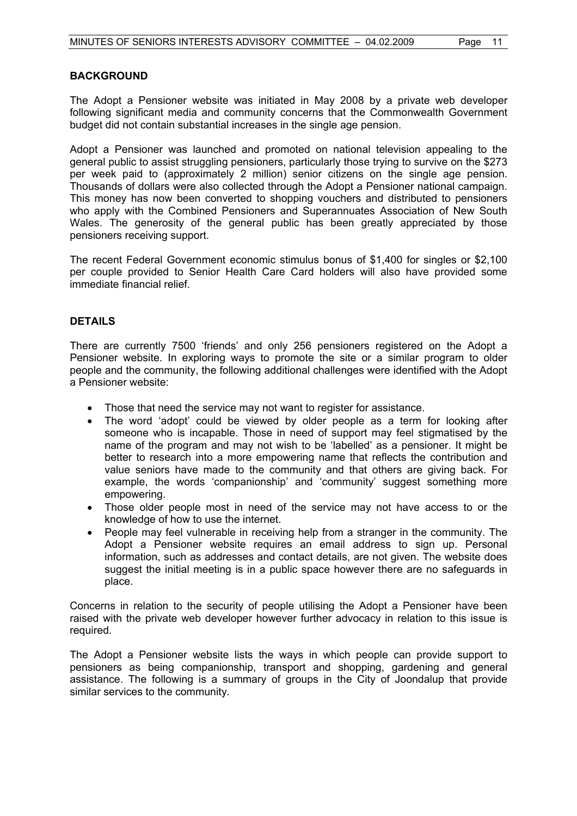#### **BACKGROUND**

The Adopt a Pensioner website was initiated in May 2008 by a private web developer following significant media and community concerns that the Commonwealth Government budget did not contain substantial increases in the single age pension.

Adopt a Pensioner was launched and promoted on national television appealing to the general public to assist struggling pensioners, particularly those trying to survive on the \$273 per week paid to (approximately 2 million) senior citizens on the single age pension. Thousands of dollars were also collected through the Adopt a Pensioner national campaign. This money has now been converted to shopping vouchers and distributed to pensioners who apply with the Combined Pensioners and Superannuates Association of New South Wales. The generosity of the general public has been greatly appreciated by those pensioners receiving support.

The recent Federal Government economic stimulus bonus of \$1,400 for singles or \$2,100 per couple provided to Senior Health Care Card holders will also have provided some immediate financial relief.

#### **DETAILS**

There are currently 7500 'friends' and only 256 pensioners registered on the Adopt a Pensioner website. In exploring ways to promote the site or a similar program to older people and the community, the following additional challenges were identified with the Adopt a Pensioner website:

- Those that need the service may not want to register for assistance.
- The word 'adopt' could be viewed by older people as a term for looking after someone who is incapable. Those in need of support may feel stigmatised by the name of the program and may not wish to be 'labelled' as a pensioner. It might be better to research into a more empowering name that reflects the contribution and value seniors have made to the community and that others are giving back. For example, the words 'companionship' and 'community' suggest something more empowering.
- Those older people most in need of the service may not have access to or the knowledge of how to use the internet.
- People may feel vulnerable in receiving help from a stranger in the community. The Adopt a Pensioner website requires an email address to sign up. Personal information, such as addresses and contact details, are not given. The website does suggest the initial meeting is in a public space however there are no safeguards in place.

Concerns in relation to the security of people utilising the Adopt a Pensioner have been raised with the private web developer however further advocacy in relation to this issue is required.

The Adopt a Pensioner website lists the ways in which people can provide support to pensioners as being companionship, transport and shopping, gardening and general assistance. The following is a summary of groups in the City of Joondalup that provide similar services to the community.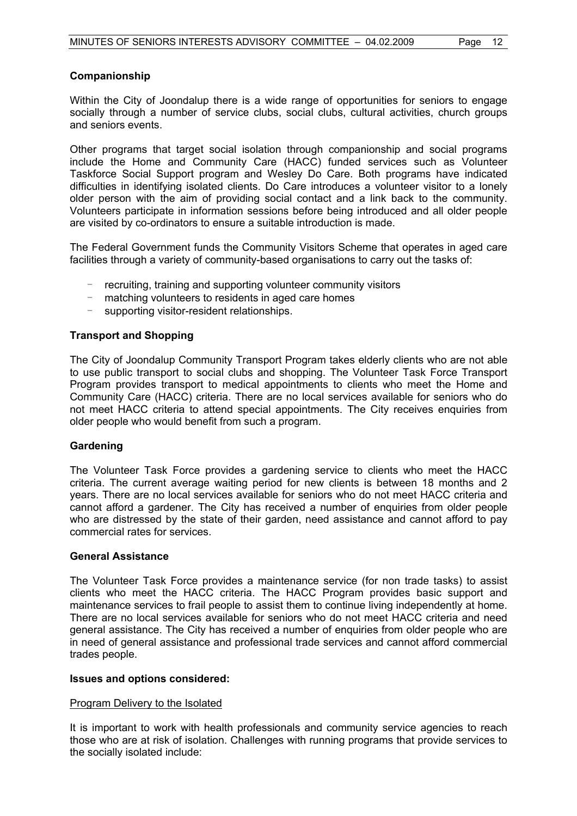#### **Companionship**

Within the City of Joondalup there is a wide range of opportunities for seniors to engage socially through a number of service clubs, social clubs, cultural activities, church groups and seniors events.

Other programs that target social isolation through companionship and social programs include the Home and Community Care (HACC) funded services such as Volunteer Taskforce Social Support program and Wesley Do Care. Both programs have indicated difficulties in identifying isolated clients. Do Care introduces a volunteer visitor to a lonely older person with the aim of providing social contact and a link back to the community. Volunteers participate in information sessions before being introduced and all older people are visited by co-ordinators to ensure a suitable introduction is made.

The Federal Government funds the Community Visitors Scheme that operates in aged care facilities through a variety of community-based organisations to carry out the tasks of:

- recruiting, training and supporting volunteer community visitors
- matching volunteers to residents in aged care homes
- supporting visitor-resident relationships.

#### **Transport and Shopping**

The City of Joondalup Community Transport Program takes elderly clients who are not able to use public transport to social clubs and shopping. The Volunteer Task Force Transport Program provides transport to medical appointments to clients who meet the Home and Community Care (HACC) criteria. There are no local services available for seniors who do not meet HACC criteria to attend special appointments. The City receives enquiries from older people who would benefit from such a program.

#### **Gardening**

The Volunteer Task Force provides a gardening service to clients who meet the HACC criteria. The current average waiting period for new clients is between 18 months and 2 years. There are no local services available for seniors who do not meet HACC criteria and cannot afford a gardener. The City has received a number of enquiries from older people who are distressed by the state of their garden, need assistance and cannot afford to pay commercial rates for services.

#### **General Assistance**

The Volunteer Task Force provides a maintenance service (for non trade tasks) to assist clients who meet the HACC criteria. The HACC Program provides basic support and maintenance services to frail people to assist them to continue living independently at home. There are no local services available for seniors who do not meet HACC criteria and need general assistance. The City has received a number of enquiries from older people who are in need of general assistance and professional trade services and cannot afford commercial trades people.

#### **Issues and options considered:**

#### Program Delivery to the Isolated

It is important to work with health professionals and community service agencies to reach those who are at risk of isolation. Challenges with running programs that provide services to the socially isolated include: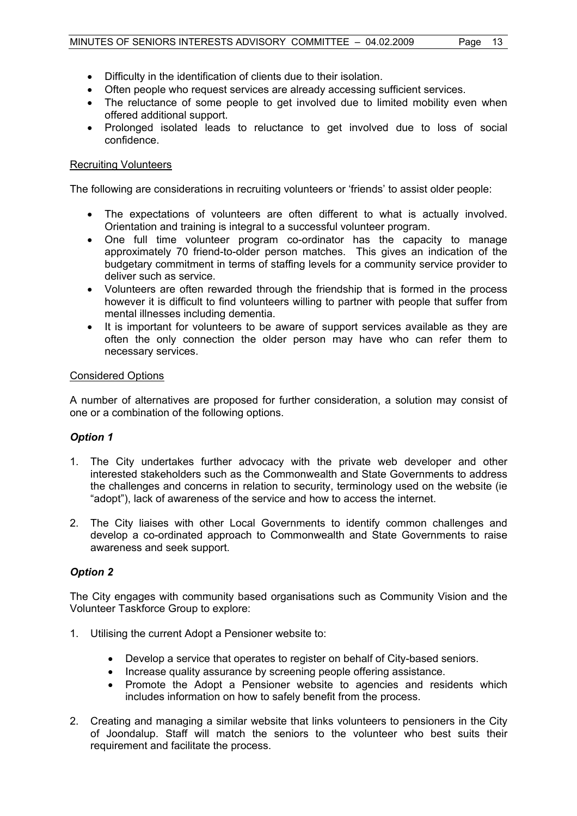- Difficulty in the identification of clients due to their isolation.
- Often people who request services are already accessing sufficient services.
- The reluctance of some people to get involved due to limited mobility even when offered additional support.
- Prolonged isolated leads to reluctance to get involved due to loss of social confidence.

#### Recruiting Volunteers

The following are considerations in recruiting volunteers or 'friends' to assist older people:

- The expectations of volunteers are often different to what is actually involved. Orientation and training is integral to a successful volunteer program.
- One full time volunteer program co-ordinator has the capacity to manage approximately 70 friend-to-older person matches. This gives an indication of the budgetary commitment in terms of staffing levels for a community service provider to deliver such as service.
- Volunteers are often rewarded through the friendship that is formed in the process however it is difficult to find volunteers willing to partner with people that suffer from mental illnesses including dementia.
- It is important for volunteers to be aware of support services available as they are often the only connection the older person may have who can refer them to necessary services.

#### Considered Options

A number of alternatives are proposed for further consideration, a solution may consist of one or a combination of the following options.

#### *Option 1*

- 1. The City undertakes further advocacy with the private web developer and other interested stakeholders such as the Commonwealth and State Governments to address the challenges and concerns in relation to security, terminology used on the website (ie "adopt"), lack of awareness of the service and how to access the internet.
- 2. The City liaises with other Local Governments to identify common challenges and develop a co-ordinated approach to Commonwealth and State Governments to raise awareness and seek support.

#### *Option 2*

The City engages with community based organisations such as Community Vision and the Volunteer Taskforce Group to explore:

- 1. Utilising the current Adopt a Pensioner website to:
	- Develop a service that operates to register on behalf of City-based seniors.
	- Increase quality assurance by screening people offering assistance.
	- Promote the Adopt a Pensioner website to agencies and residents which includes information on how to safely benefit from the process.
- 2. Creating and managing a similar website that links volunteers to pensioners in the City of Joondalup. Staff will match the seniors to the volunteer who best suits their requirement and facilitate the process.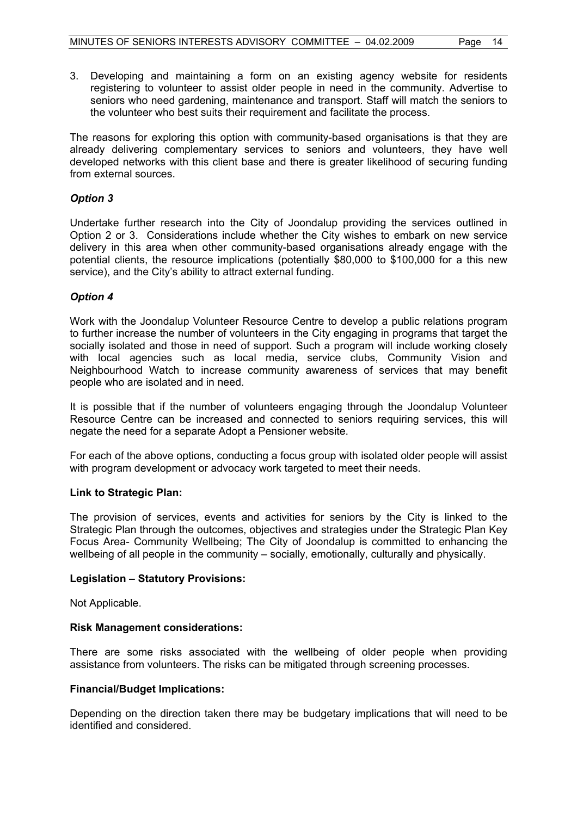3. Developing and maintaining a form on an existing agency website for residents registering to volunteer to assist older people in need in the community. Advertise to seniors who need gardening, maintenance and transport. Staff will match the seniors to the volunteer who best suits their requirement and facilitate the process.

The reasons for exploring this option with community-based organisations is that they are already delivering complementary services to seniors and volunteers, they have well developed networks with this client base and there is greater likelihood of securing funding from external sources.

### *Option 3*

Undertake further research into the City of Joondalup providing the services outlined in Option 2 or 3. Considerations include whether the City wishes to embark on new service delivery in this area when other community-based organisations already engage with the potential clients, the resource implications (potentially \$80,000 to \$100,000 for a this new service), and the City's ability to attract external funding.

### *Option 4*

Work with the Joondalup Volunteer Resource Centre to develop a public relations program to further increase the number of volunteers in the City engaging in programs that target the socially isolated and those in need of support. Such a program will include working closely with local agencies such as local media, service clubs, Community Vision and Neighbourhood Watch to increase community awareness of services that may benefit people who are isolated and in need.

It is possible that if the number of volunteers engaging through the Joondalup Volunteer Resource Centre can be increased and connected to seniors requiring services, this will negate the need for a separate Adopt a Pensioner website.

For each of the above options, conducting a focus group with isolated older people will assist with program development or advocacy work targeted to meet their needs.

#### **Link to Strategic Plan:**

The provision of services, events and activities for seniors by the City is linked to the Strategic Plan through the outcomes, objectives and strategies under the Strategic Plan Key Focus Area- Community Wellbeing; The City of Joondalup is committed to enhancing the wellbeing of all people in the community – socially, emotionally, culturally and physically.

#### **Legislation – Statutory Provisions:**

Not Applicable.

#### **Risk Management considerations:**

There are some risks associated with the wellbeing of older people when providing assistance from volunteers. The risks can be mitigated through screening processes.

#### **Financial/Budget Implications:**

Depending on the direction taken there may be budgetary implications that will need to be identified and considered.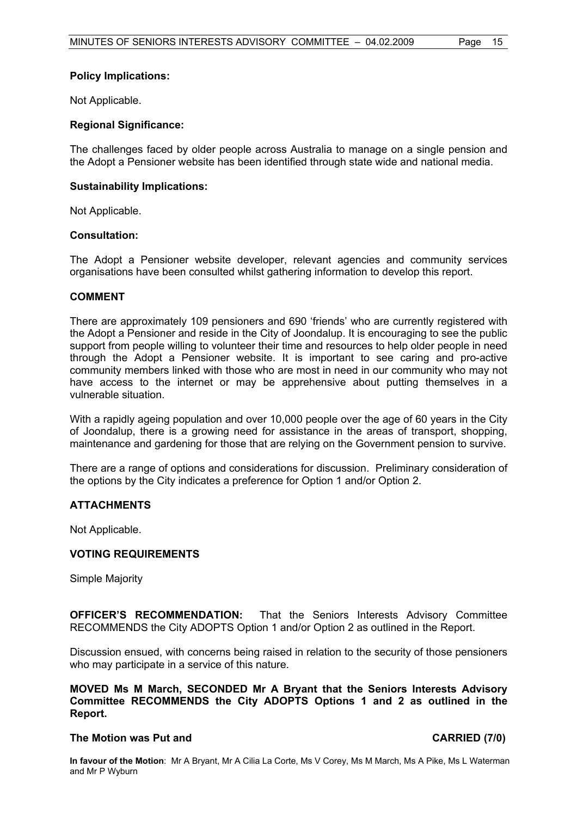#### **Policy Implications:**

Not Applicable.

#### **Regional Significance:**

The challenges faced by older people across Australia to manage on a single pension and the Adopt a Pensioner website has been identified through state wide and national media.

#### **Sustainability Implications:**

Not Applicable.

#### **Consultation:**

The Adopt a Pensioner website developer, relevant agencies and community services organisations have been consulted whilst gathering information to develop this report.

#### **COMMENT**

There are approximately 109 pensioners and 690 'friends' who are currently registered with the Adopt a Pensioner and reside in the City of Joondalup. It is encouraging to see the public support from people willing to volunteer their time and resources to help older people in need through the Adopt a Pensioner website. It is important to see caring and pro-active community members linked with those who are most in need in our community who may not have access to the internet or may be apprehensive about putting themselves in a vulnerable situation.

With a rapidly ageing population and over 10,000 people over the age of 60 years in the City of Joondalup, there is a growing need for assistance in the areas of transport, shopping, maintenance and gardening for those that are relying on the Government pension to survive.

There are a range of options and considerations for discussion. Preliminary consideration of the options by the City indicates a preference for Option 1 and/or Option 2.

#### **ATTACHMENTS**

Not Applicable.

#### **VOTING REQUIREMENTS**

Simple Majority

**OFFICER'S RECOMMENDATION:** That the Seniors Interests Advisory Committee RECOMMENDS the City ADOPTS Option 1 and/or Option 2 as outlined in the Report.

Discussion ensued, with concerns being raised in relation to the security of those pensioners who may participate in a service of this nature.

**MOVED Ms M March, SECONDED Mr A Bryant that the Seniors Interests Advisory Committee RECOMMENDS the City ADOPTS Options 1 and 2 as outlined in the Report.** 

#### The Motion was Put and **CARRIED** (7/0)

**In favour of the Motion**: Mr A Bryant, Mr A Cilia La Corte, Ms V Corey, Ms M March, Ms A Pike, Ms L Waterman and Mr P Wyburn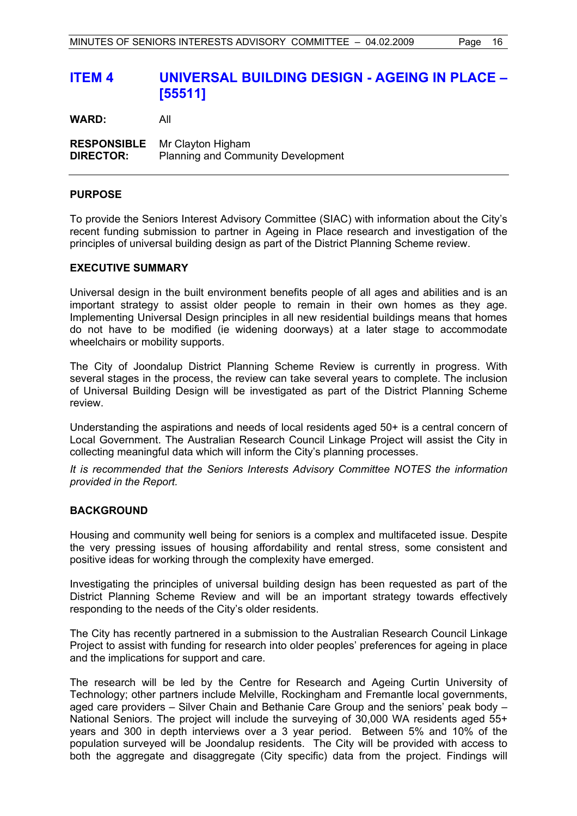# **ITEM 4 UNIVERSAL BUILDING DESIGN - AGEING IN PLACE – [55511]**

**WARD:** All **RESPONSIBLE** Mr Clayton Higham **DIRECTOR:** Planning and Community Development

#### **PURPOSE**

To provide the Seniors Interest Advisory Committee (SIAC) with information about the City's recent funding submission to partner in Ageing in Place research and investigation of the principles of universal building design as part of the District Planning Scheme review.

#### **EXECUTIVE SUMMARY**

Universal design in the built environment benefits people of all ages and abilities and is an important strategy to assist older people to remain in their own homes as they age. Implementing Universal Design principles in all new residential buildings means that homes do not have to be modified (ie widening doorways) at a later stage to accommodate wheelchairs or mobility supports.

The City of Joondalup District Planning Scheme Review is currently in progress. With several stages in the process, the review can take several years to complete. The inclusion of Universal Building Design will be investigated as part of the District Planning Scheme review.

Understanding the aspirations and needs of local residents aged 50+ is a central concern of Local Government. The Australian Research Council Linkage Project will assist the City in collecting meaningful data which will inform the City's planning processes.

*It is recommended that the Seniors Interests Advisory Committee NOTES the information provided in the Report.* 

#### **BACKGROUND**

Housing and community well being for seniors is a complex and multifaceted issue. Despite the very pressing issues of housing affordability and rental stress, some consistent and positive ideas for working through the complexity have emerged.

Investigating the principles of universal building design has been requested as part of the District Planning Scheme Review and will be an important strategy towards effectively responding to the needs of the City's older residents.

The City has recently partnered in a submission to the Australian Research Council Linkage Project to assist with funding for research into older peoples' preferences for ageing in place and the implications for support and care.

The research will be led by the Centre for Research and Ageing Curtin University of Technology; other partners include Melville, Rockingham and Fremantle local governments, aged care providers – Silver Chain and Bethanie Care Group and the seniors' peak body – National Seniors. The project will include the surveying of 30,000 WA residents aged 55+ years and 300 in depth interviews over a 3 year period. Between 5% and 10% of the population surveyed will be Joondalup residents. The City will be provided with access to both the aggregate and disaggregate (City specific) data from the project. Findings will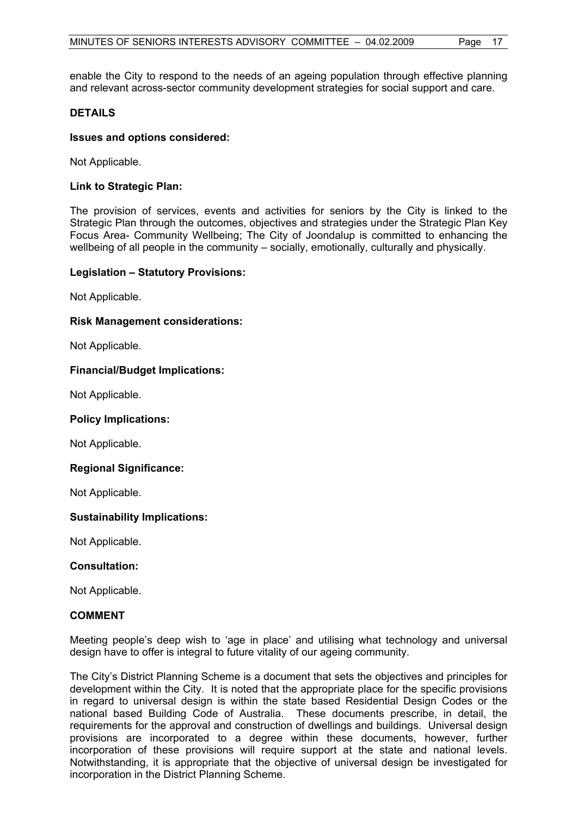enable the City to respond to the needs of an ageing population through effective planning and relevant across-sector community development strategies for social support and care.

#### **DETAILS**

#### **Issues and options considered:**

Not Applicable.

#### **Link to Strategic Plan:**

The provision of services, events and activities for seniors by the City is linked to the Strategic Plan through the outcomes, objectives and strategies under the Strategic Plan Key Focus Area- Community Wellbeing; The City of Joondalup is committed to enhancing the wellbeing of all people in the community – socially, emotionally, culturally and physically.

#### **Legislation – Statutory Provisions:**

Not Applicable.

#### **Risk Management considerations:**

Not Applicable.

#### **Financial/Budget Implications:**

Not Applicable.

#### **Policy Implications:**

Not Applicable.

#### **Regional Significance:**

Not Applicable.

#### **Sustainability Implications:**

Not Applicable.

**Consultation:** 

Not Applicable.

#### **COMMENT**

Meeting people's deep wish to 'age in place' and utilising what technology and universal design have to offer is integral to future vitality of our ageing community.

The City's District Planning Scheme is a document that sets the objectives and principles for development within the City. It is noted that the appropriate place for the specific provisions in regard to universal design is within the state based Residential Design Codes or the national based Building Code of Australia. These documents prescribe, in detail, the requirements for the approval and construction of dwellings and buildings. Universal design provisions are incorporated to a degree within these documents, however, further incorporation of these provisions will require support at the state and national levels. Notwithstanding, it is appropriate that the objective of universal design be investigated for incorporation in the District Planning Scheme.